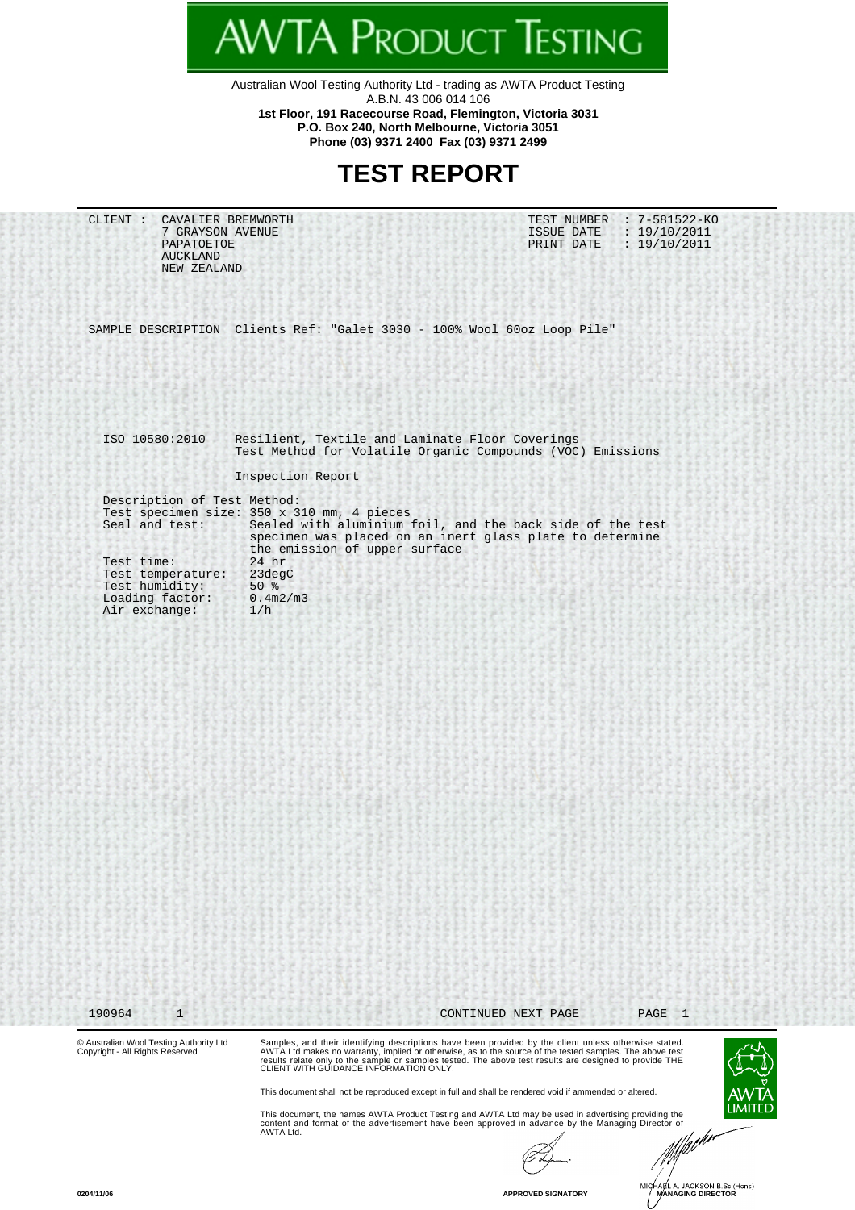Australian Wool Testing Authority Ltd - trading as AWTA Product Testing A.B.N. 43 006 014 106 **1st Floor, 191 Racecourse Road, Flemington, Victoria 3031 P.O. Box 240, North Melbourne, Victoria 3051**

**AWTA PRODUCT TESTING** 

**Phone (03) 9371 2400 Fax (03) 9371 2499**

## **TEST REPORT**

| CAVALIER BREMWORTH<br>CLIENT :<br>7 GRAYSON AVENUE<br>PAPATOETOE<br><b>AUCKLAND</b><br>NEW ZEALAND                                     |                                                                                                                              | TEST NUMBER : 7-581522-KO<br>: 19/10/2011<br>ISSUE DATE<br>PRINT DATE<br>: 19/10/2011                                                                                                                                                                                                                                                                                         |
|----------------------------------------------------------------------------------------------------------------------------------------|------------------------------------------------------------------------------------------------------------------------------|-------------------------------------------------------------------------------------------------------------------------------------------------------------------------------------------------------------------------------------------------------------------------------------------------------------------------------------------------------------------------------|
|                                                                                                                                        | SAMPLE DESCRIPTION Clients Ref: "Galet 3030 - 100% Wool 60oz Loop Pile"                                                      |                                                                                                                                                                                                                                                                                                                                                                               |
|                                                                                                                                        |                                                                                                                              |                                                                                                                                                                                                                                                                                                                                                                               |
| ISO 10580:2010                                                                                                                         | Resilient, Textile and Laminate Floor Coverings                                                                              | Test Method for Volatile Organic Compounds (VOC) Emissions                                                                                                                                                                                                                                                                                                                    |
|                                                                                                                                        | Inspection Report                                                                                                            |                                                                                                                                                                                                                                                                                                                                                                               |
| Description of Test Method:<br>Seal and test:<br>Test time:<br>Test temperature:<br>Test humidity:<br>Loading factor:<br>Air exchange: | Test specimen size: 350 x 310 mm, 4 pieces<br>the emission of upper surface<br>$24$ hr<br>23degC<br>$50*$<br>0.4m2/m3<br>1/h | Sealed with aluminium foil, and the back side of the test<br>specimen was placed on an inert glass plate to determine                                                                                                                                                                                                                                                         |
| 190964<br>$\mathbf{1}$<br>© Australian Wool Testing Authority Ltd<br>Copyright - All Rights Reserved                                   | CLIENT WITH GUIDANCE INFORMATION ONLY.                                                                                       | $\overline{1}$<br>CONTINUED NEXT PAGE<br>PAGE<br>Samples, and their identifying descriptions have been provided by the client unless otherwise stated.<br>AWTA Ltd makes no warranty, implied or otherwise, as to the source of the tested samples. The above test<br>results relate only to the sample or samples tested. The above test results are designed to provide THE |
|                                                                                                                                        | AWTA Ltd.                                                                                                                    | This document shall not be reproduced except in full and shall be rendered void if ammended or altered.<br>This document, the names AWTA Product Testing and AWTA Ltd may be used in advertising providing the<br>content and format of the advertisement have been approved in advance by the Managing Director of<br>· <sub>larkr</sub>                                     |

**O204/11/06**<br>**APPROVED SIGNATORY** MICHAEL A. JACKSON B.Sc.(Hons)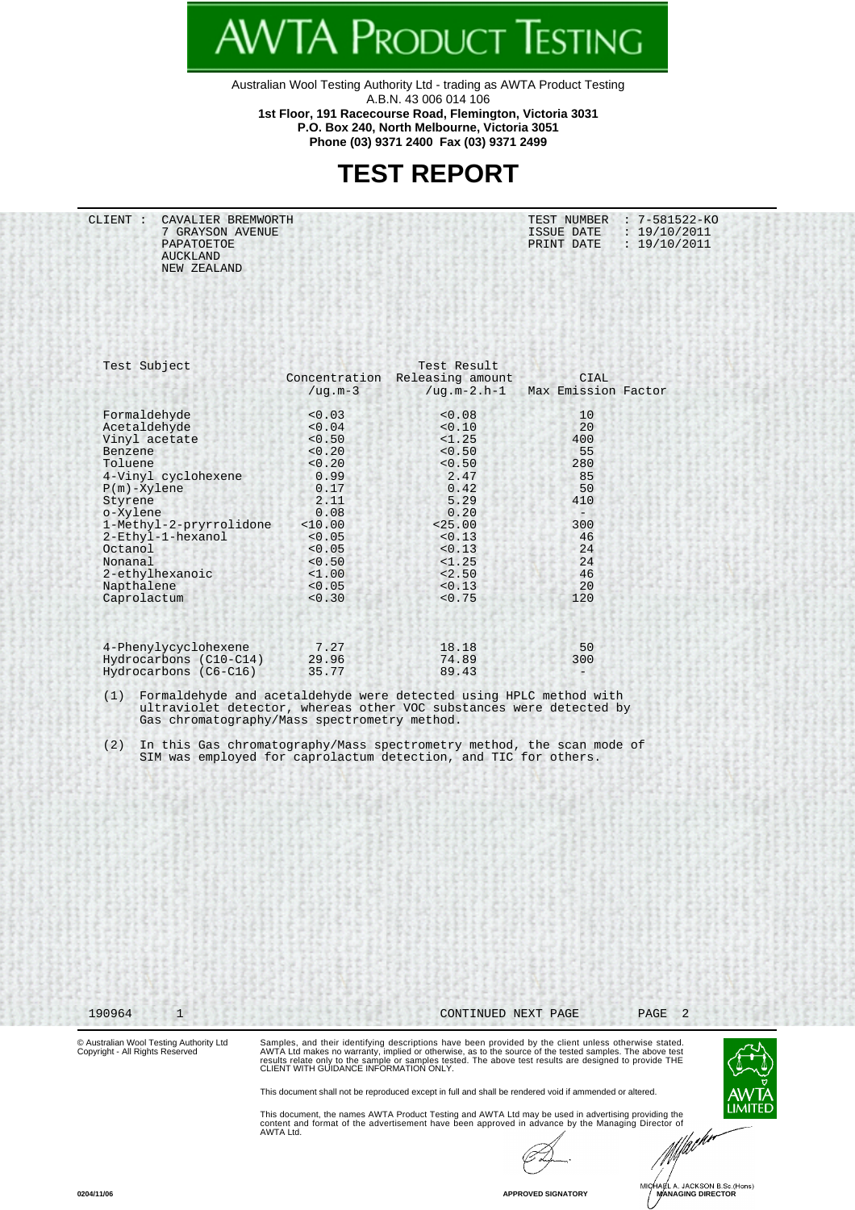Australian Wool Testing Authority Ltd - trading as AWTA Product Testing A.B.N. 43 006 014 106 **1st Floor, 191 Racecourse Road, Flemington, Victoria 3031**

**WTA PRODUCT TESTING** 

**P.O. Box 240, North Melbourne, Victoria 3051 Phone (03) 9371 2400 Fax (03) 9371 2499**

## **TEST REPORT**

CLIENT : CAVALIER BREMWORTH TEST NUMBER : 7-581522-KO 7 GRAYSON AVENUE ISSUE DATE : 19/10/2011 PAPATOETOE PRINT DATE : 19/10/2011 AUCKLAND NEW ZEALAND

| Test Result         |                  |               | Test Subject                                                                                       |
|---------------------|------------------|---------------|----------------------------------------------------------------------------------------------------|
| <b>CIAL</b>         | Releasing amount | Concentration |                                                                                                    |
| Max Emission Factor | $/$ uq.m-2.h-1   | $/$ uq.m-3    |                                                                                                    |
| 10                  | < 0.08           | < 0.03        | Formaldehyde                                                                                       |
| 20                  | < 0.10           | < 0.04        | Acetaldehyde                                                                                       |
| 400                 | <1.25            | < 0.50        | Vinyl acetate                                                                                      |
| 55                  | < 0.50           | < 0.20        | <b>Benzene</b>                                                                                     |
| 280                 | < 0.50           | < 0.20        | Toluene                                                                                            |
| 85                  | 2.47             | 0.99          | 4-Vinyl cyclohexene                                                                                |
| 50                  | 0.42             | 0.17          | $P(m) - Xy$ lene                                                                                   |
| 410                 | 5.29             | 2.11          | Styrene                                                                                            |
|                     | 0.20             | 0.08          | o-Xylene                                                                                           |
| 300                 | < 25.00          | < 10.00       | 1-Methyl-2-pryrrolidone                                                                            |
| 46                  | < 0.13           | < 0.05        | 2-Ethyl-1-hexanol                                                                                  |
| 24                  | < 0.13           | < 0.05        | Octanol                                                                                            |
| 24                  | <1.25            | < 0.50        | Nonanal                                                                                            |
| 46                  | < 2.50           | <1.00         | 2-ethylhexanoic                                                                                    |
| 20                  | < 0.13           | < 0.05        | Napthalene                                                                                         |
| 120                 | < 0.75           | < 0.30        | Caprolactum                                                                                        |
| 50                  | 18.18            | 7.27          | 4-Phenylycyclohexene                                                                               |
| 300                 | 74.89            | 29.96         | Hydrocarbons (C10-C14)                                                                             |
|                     | 89.43            | 35.77         |                                                                                                    |
|                     |                  |               | Hydrocarbons (C6-C16)<br>Formaldehyde and acetaldehyde were detected using HPLC method with<br>(1) |

 ultraviolet detector, whereas other VOC substances were detected by Gas chromatography/Mass spectrometry method.

 (2) In this Gas chromatography/Mass spectrometry method, the scan mode of SIM was employed for caprolactum detection, and TIC for others.

190964 1 CONTINUED NEXT PAGE PAGE 2

© Australian Wool Testing Authority Ltd Copyright - All Rights Reserved

Samples, and their identifying descriptions have been provided by the client unless otherwise stated.<br>AWTA Ltd makes no warranty, implied or otherwise, as to the source of the tested samples. The above test<br>results relate

This document shall not be reproduced except in full and shall be rendered void if ammended or altered.

This document, the names AWTA Product Testing and AWTA Ltd may be used in advertising providing the<br>content and format of the advertisement have been approved in advance by the Managing Director of<br>AWTA Ltd.